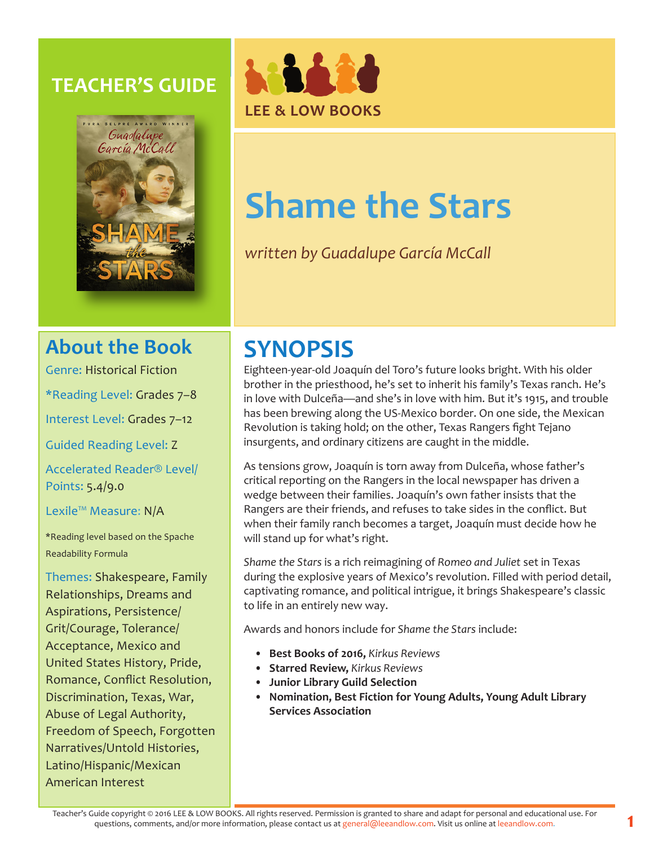## **TEACHER'S GUIDE**





# **Shame the Stars**

*written by Guadalupe García McCall*

## **About the Book**

Genre: Historical Fiction

\*Reading Level: Grades 7–8

Interest Level: Grades 7–12

Guided Reading Level: Z

Accelerated Reader® Level/ Points: 5.4/9.0

Lexile™ Measure: N/A

\*Reading level based on the Spache Readability Formula

Themes: Shakespeare, Family Relationships, Dreams and Aspirations, Persistence/ Grit/Courage, Tolerance/ Acceptance, Mexico and United States History, Pride, Romance, Conflict Resolution, Discrimination, Texas, War, Abuse of Legal Authority, Freedom of Speech, Forgotten Narratives/Untold Histories, Latino/Hispanic/Mexican American Interest

# **SYNOPSIS**

Eighteen-year-old Joaquín del Toro's future looks bright. With his older brother in the priesthood, he's set to inherit his family's Texas ranch. He's in love with Dulceña—and she's in love with him. But it's 1915, and trouble has been brewing along the US-Mexico border. On one side, the Mexican Revolution is taking hold; on the other, Texas Rangers fight Tejano insurgents, and ordinary citizens are caught in the middle.

As tensions grow, Joaquín is torn away from Dulceña, whose father's critical reporting on the Rangers in the local newspaper has driven a wedge between their families. Joaquín's own father insists that the Rangers are their friends, and refuses to take sides in the conflict. But when their family ranch becomes a target, Joaquín must decide how he will stand up for what's right.

*Shame the Stars* is a rich reimagining of *Romeo and Juliet* set in Texas during the explosive years of Mexico's revolution. Filled with period detail, captivating romance, and political intrigue, it brings Shakespeare's classic to life in an entirely new way.

Awards and honors include for *Shame the Stars* include:

- **• Best Books of 2016,** *Kirkus Reviews*
- **• Starred Review,** *Kirkus Reviews*
- **• Junior Library Guild Selection**
- **• Nomination, Best Fiction for Young Adults, Young Adult Library Services Association**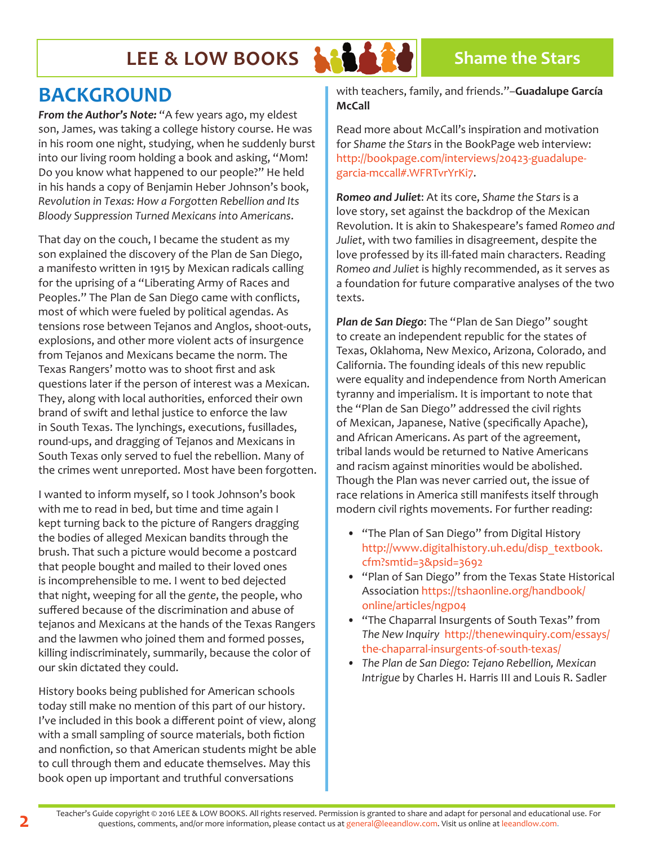

## **BACKGROUND**

*From the Author's Note:* "A few years ago, my eldest son, James, was taking a college history course. He was in his room one night, studying, when he suddenly burst into our living room holding a book and asking, "Mom! Do you know what happened to our people?" He held in his hands a copy of Benjamin Heber Johnson's book, *Revolution in Texas: How a Forgotten Rebellion and Its Bloody Suppression Turned Mexicans into Americans*.

That day on the couch, I became the student as my son explained the discovery of the Plan de San Diego, a manifesto written in 1915 by Mexican radicals calling for the uprising of a "Liberating Army of Races and Peoples." The Plan de San Diego came with conflicts, most of which were fueled by political agendas. As tensions rose between Tejanos and Anglos, shoot-outs, explosions, and other more violent acts of insurgence from Tejanos and Mexicans became the norm. The Texas Rangers' motto was to shoot first and ask questions later if the person of interest was a Mexican. They, along with local authorities, enforced their own brand of swift and lethal justice to enforce the law in South Texas. The lynchings, executions, fusillades, round-ups, and dragging of Tejanos and Mexicans in South Texas only served to fuel the rebellion. Many of the crimes went unreported. Most have been forgotten.

I wanted to inform myself, so I took Johnson's book with me to read in bed, but time and time again I kept turning back to the picture of Rangers dragging the bodies of alleged Mexican bandits through the brush. That such a picture would become a postcard that people bought and mailed to their loved ones is incomprehensible to me. I went to bed dejected that night, weeping for all the *gente*, the people, who suffered because of the discrimination and abuse of tejanos and Mexicans at the hands of the Texas Rangers and the lawmen who joined them and formed posses, killing indiscriminately, summarily, because the color of our skin dictated they could.

History books being published for American schools today still make no mention of this part of our history. I've included in this book a different point of view, along with a small sampling of source materials, both fiction and nonfiction, so that American students might be able to cull through them and educate themselves. May this book open up important and truthful conversations

with teachers, family, and friends."–**Guadalupe García McCall**

Read more about McCall's inspiration and motivation for *Shame the Stars* in the BookPage web interview: http://bookpage.com/interviews/20423-guadalupegarcia-mccall#.WFRTvrYrKi7.

*Romeo and Juliet*: At its core, *Shame the Stars* is a love story, set against the backdrop of the Mexican Revolution. It is akin to Shakespeare's famed *Romeo and Juliet*, with two families in disagreement, despite the love professed by its ill-fated main characters. Reading *Romeo and Juliet* is highly recommended, as it serves as a foundation for future comparative analyses of the two texts.

*Plan de San Diego*: The "Plan de San Diego" sought to create an independent republic for the states of Texas, Oklahoma, New Mexico, Arizona, Colorado, and California. The founding ideals of this new republic were equality and independence from North American tyranny and imperialism. It is important to note that the "Plan de San Diego" addressed the civil rights of Mexican, Japanese, Native (specifically Apache), and African Americans. As part of the agreement, tribal lands would be returned to Native Americans and racism against minorities would be abolished. Though the Plan was never carried out, the issue of race relations in America still manifests itself through modern civil rights movements. For further reading:

- "The Plan of San Diego" from Digital History http://www.digitalhistory.uh.edu/disp\_textbook. cfm?smtid=3&psid=3692
- "Plan of San Diego" from the Texas State Historical Association https://tshaonline.org/handbook/ online/articles/ngp04
- "The Chaparral Insurgents of South Texas" from *The New Inquiry* http://thenewinquiry.com/essays/ the-chaparral-insurgents-of-south-texas/
- *• The Plan de San Diego: Tejano Rebellion, Mexican Intrigue* by Charles H. Harris III and Louis R. Sadler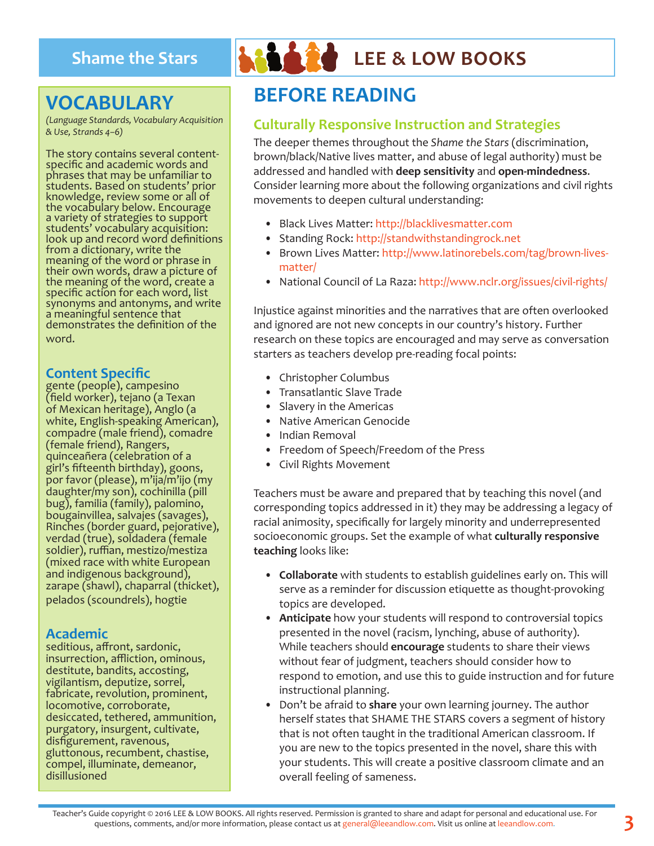## **VOCABULARY**

*(Language Standards, Vocabulary Acquisition & Use, Strands 4–6)*

The story contains several contentspecific and academic words and phrases that may be unfamiliar to students. Based on students' prior knowledge, review some or all of the vocabulary below. Encourage a variety of strategies to support students' vocabulary acquisition: look up and record word definitions from a dictionary, write the meaning of the word or phrase in their own words, draw a picture of the meaning of the word, create a specific action for each word, list synonyms and antonyms, and write a meaningful sentence that demonstrates the definition of the word.

#### **Content Specific**

gente (people), campesino (field worker), tejano (a Texan of Mexican heritage), Anglo (a white, English-speaking American), compadre (male friend), comadre (female friend), Rangers, quinceañera (celebration of a girl's fifteenth birthday), goons, por favor (please), m'ija/m'ijo (my daughter/my son), cochinilla (pill bug), familia (family), palomino, bougainvillea, salvajes (savages), Rinches (border guard, pejorative), verdad (true), soldadera (female soldier), ruffian, mestizo/mestiza (mixed race with white European and indigenous background), zarape (shawl), chaparral (thicket), pelados (scoundrels), hogtie

#### **Academic**

seditious, affront, sardonic, insurrection, affliction, ominous, destitute, bandits, accosting, vigilantism, deputize, sorrel, fabricate, revolution, prominent, locomotive, corroborate, desiccated, tethered, ammunition, purgatory, insurgent, cultivate, disfigurement, ravenous, gluttonous, recumbent, chastise, compel, illuminate, demeanor, disillusioned



# **Shame the Stars LEE & LOW BOOKS**

## **BEFORE READING**

### **Culturally Responsive Instruction and Strategies**

The deeper themes throughout the *Shame the Stars* (discrimination, brown/black/Native lives matter, and abuse of legal authority) must be addressed and handled with **deep sensitivity** and **open-mindedness**. Consider learning more about the following organizations and civil rights movements to deepen cultural understanding:

- Black Lives Matter: http://blacklivesmatter.com
- Standing Rock: http://standwithstandingrock.net
- Brown Lives Matter: http://www.latinorebels.com/tag/brown-livesmatter/
- National Council of La Raza: http://www.nclr.org/issues/civil-rights/

Injustice against minorities and the narratives that are often overlooked and ignored are not new concepts in our country's history. Further research on these topics are encouraged and may serve as conversation starters as teachers develop pre-reading focal points:

- Christopher Columbus
- Transatlantic Slave Trade
- Slavery in the Americas
- Native American Genocide
- Indian Removal
- Freedom of Speech/Freedom of the Press
- Civil Rights Movement

Teachers must be aware and prepared that by teaching this novel (and corresponding topics addressed in it) they may be addressing a legacy of racial animosity, specifically for largely minority and underrepresented socioeconomic groups. Set the example of what **culturally responsive teaching** looks like:

- **• Collaborate** with students to establish guidelines early on. This will serve as a reminder for discussion etiquette as thought-provoking topics are developed.
- **• Anticipate** how your students will respond to controversial topics presented in the novel (racism, lynching, abuse of authority). While teachers should **encourage** students to share their views without fear of judgment, teachers should consider how to respond to emotion, and use this to guide instruction and for future instructional planning.
- Don't be afraid to **share** your own learning journey. The author herself states that SHAME THE STARS covers a segment of history that is not often taught in the traditional American classroom. If you are new to the topics presented in the novel, share this with your students. This will create a positive classroom climate and an overall feeling of sameness.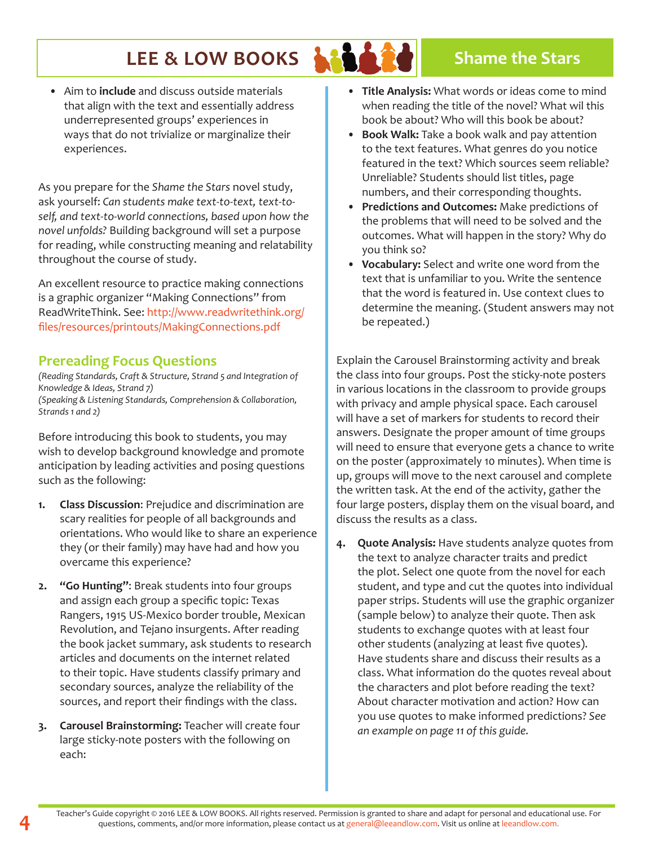• Aim to **include** and discuss outside materials that align with the text and essentially address underrepresented groups' experiences in ways that do not trivialize or marginalize their experiences.

As you prepare for the *Shame the Stars* novel study, ask yourself: *Can students make text-to-text, text-toself, and text-to-world connections, based upon how the novel unfolds?* Building background will set a purpose for reading, while constructing meaning and relatability throughout the course of study.

An excellent resource to practice making connections is a graphic organizer "Making Connections" from ReadWriteThink. See: http://www.readwritethink.org/ files/resources/printouts/MakingConnections.pdf

#### **Prereading Focus Questions**

*(Reading Standards, Craft & Structure, Strand 5 and Integration of Knowledge & Ideas, Strand 7) (Speaking & Listening Standards, Comprehension & Collaboration, Strands 1 and 2)* 

Before introducing this book to students, you may wish to develop background knowledge and promote anticipation by leading activities and posing questions such as the following:

- **1. Class Discussion**: Prejudice and discrimination are scary realities for people of all backgrounds and orientations. Who would like to share an experience they (or their family) may have had and how you overcame this experience?
- **2. "Go Hunting"**: Break students into four groups and assign each group a specific topic: Texas Rangers, 1915 US-Mexico border trouble, Mexican Revolution, and Tejano insurgents. After reading the book jacket summary, ask students to research articles and documents on the internet related to their topic. Have students classify primary and secondary sources, analyze the reliability of the sources, and report their findings with the class.
- **3. Carousel Brainstorming:** Teacher will create four large sticky-note posters with the following on each:
- **• Title Analysis:** What words or ideas come to mind when reading the title of the novel? What wil this book be about? Who will this book be about?
- **• Book Walk:** Take a book walk and pay attention to the text features. What genres do you notice featured in the text? Which sources seem reliable? Unreliable? Students should list titles, page numbers, and their corresponding thoughts.
- **• Predictions and Outcomes:** Make predictions of the problems that will need to be solved and the outcomes. What will happen in the story? Why do you think so?
- **• Vocabulary:** Select and write one word from the text that is unfamiliar to you. Write the sentence that the word is featured in. Use context clues to determine the meaning. (Student answers may not be repeated.)

Explain the Carousel Brainstorming activity and break the class into four groups. Post the sticky-note posters in various locations in the classroom to provide groups with privacy and ample physical space. Each carousel will have a set of markers for students to record their answers. Designate the proper amount of time groups will need to ensure that everyone gets a chance to write on the poster (approximately 10 minutes). When time is up, groups will move to the next carousel and complete the written task. At the end of the activity, gather the four large posters, display them on the visual board, and discuss the results as a class.

**4. Quote Analysis:** Have students analyze quotes from the text to analyze character traits and predict the plot. Select one quote from the novel for each student, and type and cut the quotes into individual paper strips. Students will use the graphic organizer (sample below) to analyze their quote. Then ask students to exchange quotes with at least four other students (analyzing at least five quotes). Have students share and discuss their results as a class. What information do the quotes reveal about the characters and plot before reading the text? About character motivation and action? How can you use quotes to make informed predictions? *See an example on page 11 of this guide.*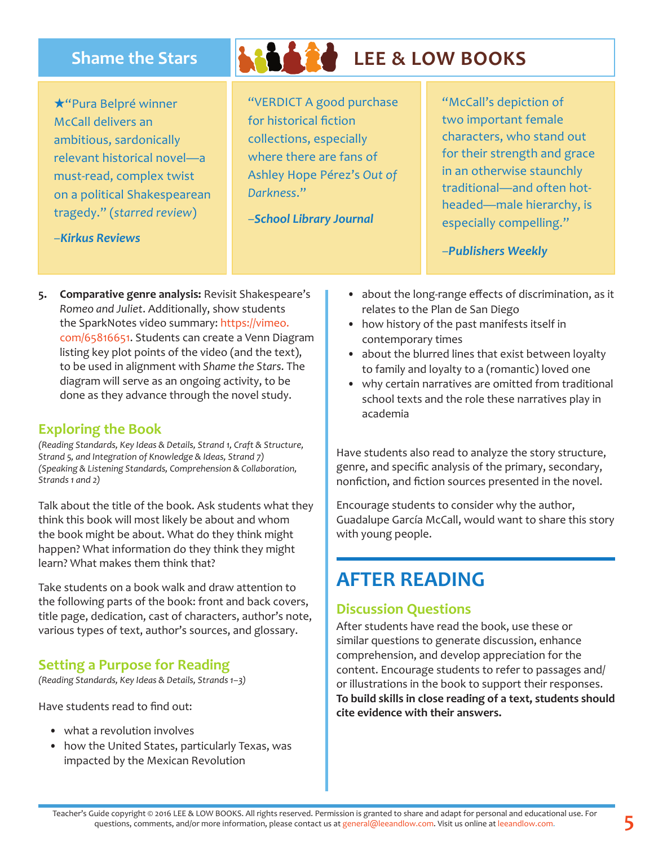$\star$ "Pura Belpré winner McCall delivers an ambitious, sardonically relevant historical novel—a must-read, complex twist on a political Shakespearean tragedy." (*starred review*)

# **Shame the Stars LEE & LOW BOOKS**

"VERDICT A good purchase for historical fiction collections, especially where there are fans of Ashley Hope Pérez's *Out of Darkness*."

–*School Library Journal*

"McCall's depiction of two important female characters, who stand out for their strength and grace in an otherwise staunchly traditional—and often hotheaded—male hierarchy, is especially compelling."

–*Publishers Weekly*

**5. Comparative genre analysis:** Revisit Shakespeare's *Romeo and Juliet*. Additionally, show students the SparkNotes video summary: https://vimeo. com/65816651. Students can create a Venn Diagram listing key plot points of the video (and the text), to be used in alignment with *Shame the Stars*. The diagram will serve as an ongoing activity, to be done as they advance through the novel study.

### **Exploring the Book**

–*Kirkus Reviews*

*(Reading Standards, Key Ideas & Details, Strand 1, Craft & Structure, Strand 5, and Integration of Knowledge & Ideas, Strand 7) (Speaking & Listening Standards, Comprehension & Collaboration, Strands 1 and 2)* 

Talk about the title of the book. Ask students what they think this book will most likely be about and whom the book might be about. What do they think might happen? What information do they think they might learn? What makes them think that?

Take students on a book walk and draw attention to the following parts of the book: front and back covers, title page, dedication, cast of characters, author's note, various types of text, author's sources, and glossary.

### **Setting a Purpose for Reading**

*(Reading Standards, Key Ideas & Details, Strands 1–3)*

Have students read to find out:

- what a revolution involves
- how the United States, particularly Texas, was impacted by the Mexican Revolution
- about the long-range effects of discrimination, as it relates to the Plan de San Diego
- how history of the past manifests itself in contemporary times
- about the blurred lines that exist between loyalty to family and loyalty to a (romantic) loved one
- why certain narratives are omitted from traditional school texts and the role these narratives play in academia

Have students also read to analyze the story structure, genre, and specific analysis of the primary, secondary, nonfiction, and fiction sources presented in the novel.

Encourage students to consider why the author, Guadalupe García McCall, would want to share this story with young people.

## **AFTER READING**

### **Discussion Questions**

After students have read the book, use these or similar questions to generate discussion, enhance comprehension, and develop appreciation for the content. Encourage students to refer to passages and/ or illustrations in the book to support their responses. **To build skills in close reading of a text, students should cite evidence with their answers.**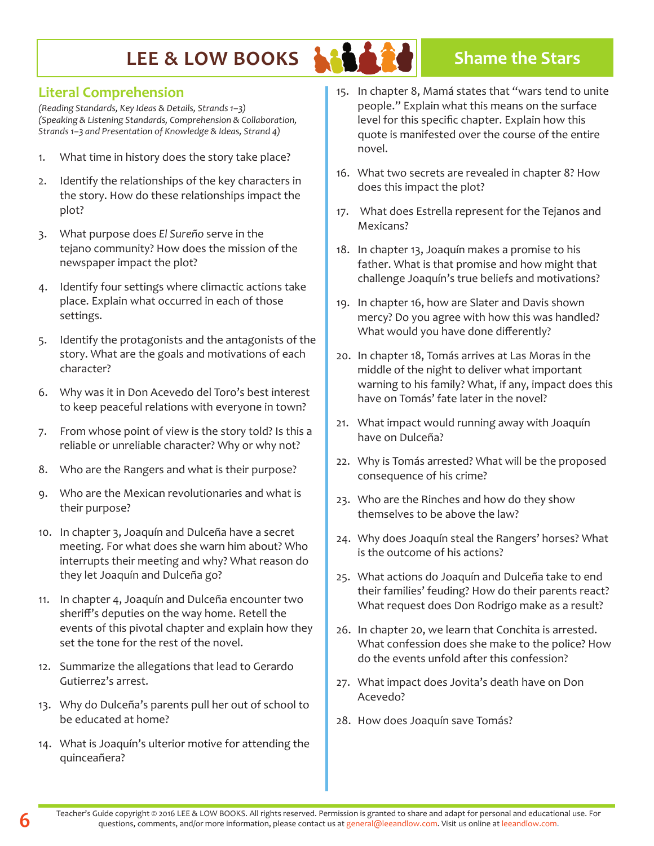

### **Literal Comprehension**

*(Reading Standards, Key Ideas & Details, Strands 1–3) (Speaking & Listening Standards, Comprehension & Collaboration, Strands 1–3 and Presentation of Knowledge & Ideas, Strand 4)* 

- 1. What time in history does the story take place?
- 2. Identify the relationships of the key characters in the story. How do these relationships impact the plot?
- 3. What purpose does *El Sureño* serve in the tejano community? How does the mission of the newspaper impact the plot?
- 4. Identify four settings where climactic actions take place. Explain what occurred in each of those settings.
- 5. Identify the protagonists and the antagonists of the story. What are the goals and motivations of each character?
- 6. Why was it in Don Acevedo del Toro's best interest to keep peaceful relations with everyone in town?
- 7. From whose point of view is the story told? Is this a reliable or unreliable character? Why or why not?
- 8. Who are the Rangers and what is their purpose?
- 9. Who are the Mexican revolutionaries and what is their purpose?
- 10. In chapter 3, Joaquín and Dulceña have a secret meeting. For what does she warn him about? Who interrupts their meeting and why? What reason do they let Joaquín and Dulceña go?
- 11. In chapter 4, Joaquín and Dulceña encounter two sheriff's deputies on the way home. Retell the events of this pivotal chapter and explain how they set the tone for the rest of the novel.
- 12. Summarize the allegations that lead to Gerardo Gutierrez's arrest.
- 13. Why do Dulceña's parents pull her out of school to be educated at home?
- 14. What is Joaquín's ulterior motive for attending the quinceañera?
- 15. In chapter 8, Mamá states that "wars tend to unite people." Explain what this means on the surface level for this specific chapter. Explain how this quote is manifested over the course of the entire novel.
- 16. What two secrets are revealed in chapter 8? How does this impact the plot?
- 17. What does Estrella represent for the Tejanos and Mexicans?
- 18. In chapter 13, Joaquín makes a promise to his father. What is that promise and how might that challenge Joaquín's true beliefs and motivations?
- 19. In chapter 16, how are Slater and Davis shown mercy? Do you agree with how this was handled? What would you have done differently?
- 20. In chapter 18, Tomás arrives at Las Moras in the middle of the night to deliver what important warning to his family? What, if any, impact does this have on Tomás' fate later in the novel?
- 21. What impact would running away with Joaquín have on Dulceña?
- 22. Why is Tomás arrested? What will be the proposed consequence of his crime?
- 23. Who are the Rinches and how do they show themselves to be above the law?
- 24. Why does Joaquín steal the Rangers' horses? What is the outcome of his actions?
- 25. What actions do Joaquín and Dulceña take to end their families' feuding? How do their parents react? What request does Don Rodrigo make as a result?
- 26. In chapter 20, we learn that Conchita is arrested. What confession does she make to the police? How do the events unfold after this confession?
- 27. What impact does Jovita's death have on Don Acevedo?
- 28. How does Joaquín save Tomás?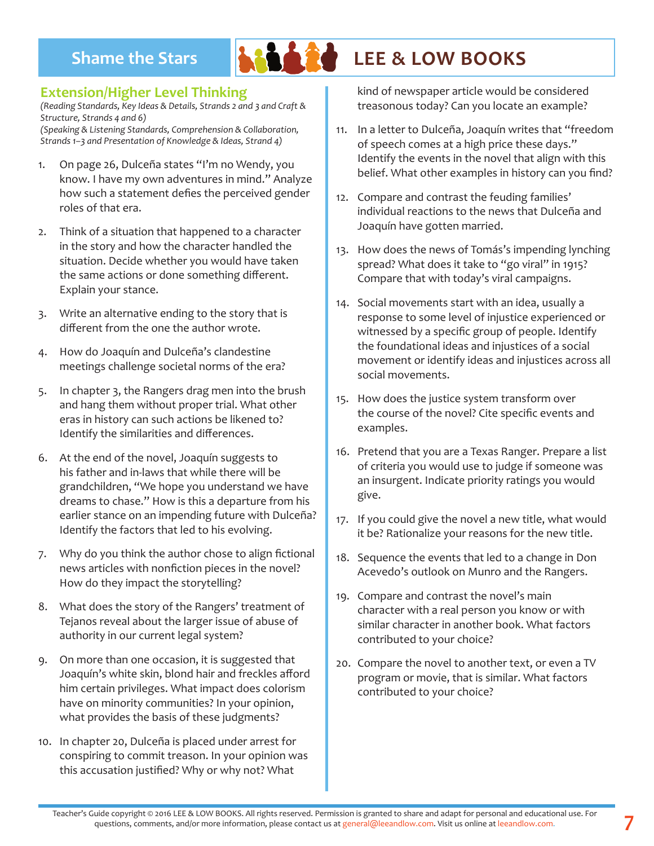

# **Shame the Stars LEE & LOW BOOKS**

### **Extension/Higher Level Thinking**

*(Reading Standards, Key Ideas & Details, Strands 2 and 3 and Craft & Structure, Strands 4 and 6)* 

*(Speaking & Listening Standards, Comprehension & Collaboration, Strands 1–3 and Presentation of Knowledge & Ideas, Strand 4)* 

- 1. On page 26, Dulceña states "I'm no Wendy, you know. I have my own adventures in mind." Analyze how such a statement defies the perceived gender roles of that era.
- 2. Think of a situation that happened to a character in the story and how the character handled the situation. Decide whether you would have taken the same actions or done something different. Explain your stance.
- 3. Write an alternative ending to the story that is different from the one the author wrote.
- 4. How do Joaquín and Dulceña's clandestine meetings challenge societal norms of the era?
- 5. In chapter 3, the Rangers drag men into the brush and hang them without proper trial. What other eras in history can such actions be likened to? Identify the similarities and differences.
- 6. At the end of the novel, Joaquín suggests to his father and in-laws that while there will be grandchildren, "We hope you understand we have dreams to chase." How is this a departure from his earlier stance on an impending future with Dulceña? Identify the factors that led to his evolving.
- 7. Why do you think the author chose to align fictional news articles with nonfiction pieces in the novel? How do they impact the storytelling?
- 8. What does the story of the Rangers' treatment of Tejanos reveal about the larger issue of abuse of authority in our current legal system?
- 9. On more than one occasion, it is suggested that Joaquín's white skin, blond hair and freckles afford him certain privileges. What impact does colorism have on minority communities? In your opinion, what provides the basis of these judgments?
- 10. In chapter 20, Dulceña is placed under arrest for conspiring to commit treason. In your opinion was this accusation justified? Why or why not? What

kind of newspaper article would be considered treasonous today? Can you locate an example?

- 11. In a letter to Dulceña, Joaquín writes that "freedom of speech comes at a high price these days." Identify the events in the novel that align with this belief. What other examples in history can you find?
- 12. Compare and contrast the feuding families' individual reactions to the news that Dulceña and Joaquín have gotten married.
- 13. How does the news of Tomás's impending lynching spread? What does it take to "go viral" in 1915? Compare that with today's viral campaigns.
- 14. Social movements start with an idea, usually a response to some level of injustice experienced or witnessed by a specific group of people. Identify the foundational ideas and injustices of a social movement or identify ideas and injustices across all social movements.
- 15. How does the justice system transform over the course of the novel? Cite specific events and examples.
- 16. Pretend that you are a Texas Ranger. Prepare a list of criteria you would use to judge if someone was an insurgent. Indicate priority ratings you would give.
- 17. If you could give the novel a new title, what would it be? Rationalize your reasons for the new title.
- 18. Sequence the events that led to a change in Don Acevedo's outlook on Munro and the Rangers.
- 19. Compare and contrast the novel's main character with a real person you know or with similar character in another book. What factors contributed to your choice?
- 20. Compare the novel to another text, or even a TV program or movie, that is similar. What factors contributed to your choice?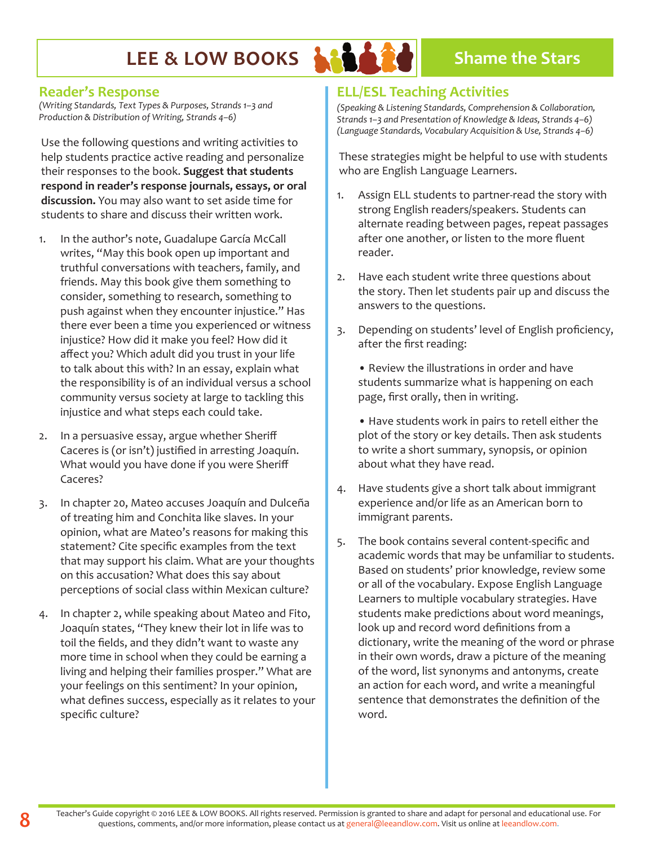

#### **Reader's Response**

*(Writing Standards, Text Types & Purposes, Strands 1–3 and Production & Distribution of Writing, Strands 4–6)* 

Use the following questions and writing activities to help students practice active reading and personalize their responses to the book. **Suggest that students respond in reader's response journals, essays, or oral discussion.** You may also want to set aside time for students to share and discuss their written work.

- 1. In the author's note, Guadalupe García McCall writes, "May this book open up important and truthful conversations with teachers, family, and friends. May this book give them something to consider, something to research, something to push against when they encounter injustice." Has there ever been a time you experienced or witness injustice? How did it make you feel? How did it affect you? Which adult did you trust in your life to talk about this with? In an essay, explain what the responsibility is of an individual versus a school community versus society at large to tackling this injustice and what steps each could take.
- 2. In a persuasive essay, argue whether Sheriff Caceres is (or isn't) justified in arresting Joaquín. What would you have done if you were Sheriff Caceres?
- 3. In chapter 20, Mateo accuses Joaquín and Dulceña of treating him and Conchita like slaves. In your opinion, what are Mateo's reasons for making this statement? Cite specific examples from the text that may support his claim. What are your thoughts on this accusation? What does this say about perceptions of social class within Mexican culture?
- 4. In chapter 2, while speaking about Mateo and Fito, Joaquín states, "They knew their lot in life was to toil the fields, and they didn't want to waste any more time in school when they could be earning a living and helping their families prosper." What are your feelings on this sentiment? In your opinion, what defines success, especially as it relates to your specific culture?

### **ELL/ESL Teaching Activities**

*(Speaking & Listening Standards, Comprehension & Collaboration, Strands 1–3 and Presentation of Knowledge & Ideas, Strands 4–6) (Language Standards, Vocabulary Acquisition & Use, Strands 4–6)* 

These strategies might be helpful to use with students who are English Language Learners.

- 1. Assign ELL students to partner-read the story with strong English readers/speakers. Students can alternate reading between pages, repeat passages after one another, or listen to the more fluent reader.
- 2. Have each student write three questions about the story. Then let students pair up and discuss the answers to the questions.
- 3. Depending on students' level of English proficiency, after the first reading:

• Review the illustrations in order and have students summarize what is happening on each page, first orally, then in writing.

• Have students work in pairs to retell either the plot of the story or key details. Then ask students to write a short summary, synopsis, or opinion about what they have read.

- 4. Have students give a short talk about immigrant experience and/or life as an American born to immigrant parents.
- 5. The book contains several content-specific and academic words that may be unfamiliar to students. Based on students' prior knowledge, review some or all of the vocabulary. Expose English Language Learners to multiple vocabulary strategies. Have students make predictions about word meanings, look up and record word definitions from a dictionary, write the meaning of the word or phrase in their own words, draw a picture of the meaning of the word, list synonyms and antonyms, create an action for each word, and write a meaningful sentence that demonstrates the definition of the word.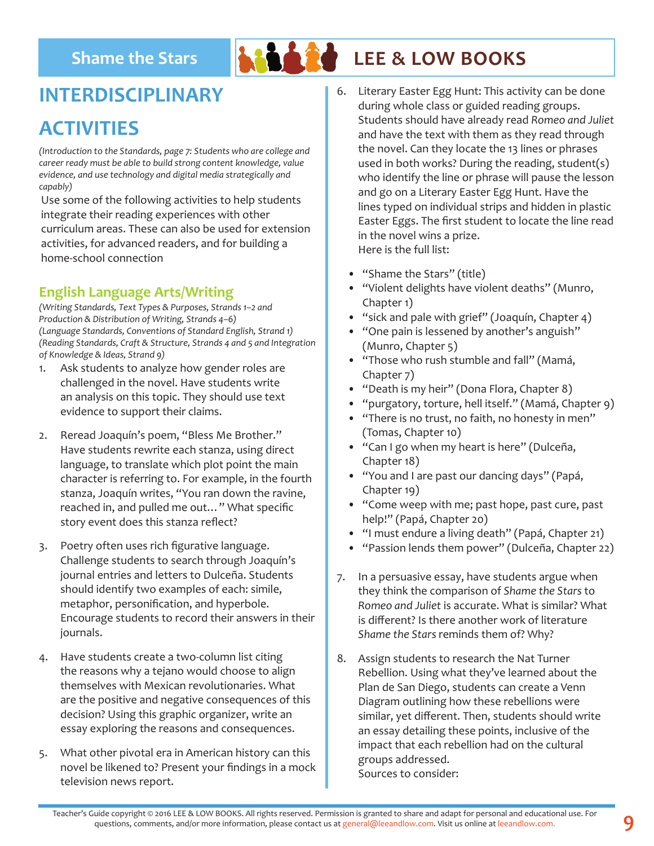

# **Shame the Stars LEE & LOW BOOKS**

## **INTERDISCIPLINARY**

## **ACTIVITIES**

*(Introduction to the Standards, page 7: Students who are college and career ready must be able to build strong content knowledge, value evidence, and use technology and digital media strategically and capably)*

Use some of the following activities to help students integrate their reading experiences with other curriculum areas. These can also be used for extension activities, for advanced readers, and for building a home-school connection

### **English Language Arts/Writing**

*(Writing Standards, Text Types & Purposes, Strands 1–2 and Production & Distribution of Writing, Strands 4–6) (Language Standards, Conventions of Standard English, Strand 1) (Reading Standards, Craft & Structure, Strands 4 and 5 and Integration of Knowledge & Ideas, Strand 9)* 

- 1. Ask students to analyze how gender roles are challenged in the novel. Have students write an analysis on this topic. They should use text evidence to support their claims.
- 2. Reread Joaquín's poem, "Bless Me Brother." Have students rewrite each stanza, using direct language, to translate which plot point the main character is referring to. For example, in the fourth stanza, Joaquín writes, "You ran down the ravine, reached in, and pulled me out…" What specific story event does this stanza reflect?
- 3. Poetry often uses rich figurative language. Challenge students to search through Joaquín's journal entries and letters to Dulceña. Students should identify two examples of each: simile, metaphor, personification, and hyperbole. Encourage students to record their answers in their journals.
- 4. Have students create a two-column list citing the reasons why a tejano would choose to align themselves with Mexican revolutionaries. What are the positive and negative consequences of this decision? Using this graphic organizer, write an essay exploring the reasons and consequences.
- 5. What other pivotal era in American history can this novel be likened to? Present your findings in a mock television news report.
- 6. Literary Easter Egg Hunt: This activity can be done during whole class or guided reading groups. Students should have already read *Romeo and Juliet*  and have the text with them as they read through the novel. Can they locate the 13 lines or phrases used in both works? During the reading, student(s) who identify the line or phrase will pause the lesson and go on a Literary Easter Egg Hunt. Have the lines typed on individual strips and hidden in plastic Easter Eggs. The first student to locate the line read in the novel wins a prize. Here is the full list:
	- "Shame the Stars" (title)
	- "Violent delights have violent deaths" (Munro, Chapter 1)
	- "sick and pale with grief" (Joaquín, Chapter 4)
	- "One pain is lessened by another's anguish" (Munro, Chapter 5)
	- "Those who rush stumble and fall" (Mamá, Chapter 7)
	- "Death is my heir" (Dona Flora, Chapter 8)
	- "purgatory, torture, hell itself." (Mamá, Chapter 9)
	- "There is no trust, no faith, no honesty in men" (Tomas, Chapter 10)
	- "Can I go when my heart is here" (Dulceña, Chapter 18)
	- "You and I are past our dancing days" (Papá, Chapter 19)
	- "Come weep with me; past hope, past cure, past help!" (Papá, Chapter 20)
	- "I must endure a living death" (Papá, Chapter 21)
	- "Passion lends them power" (Dulceña, Chapter 22)
- 7. In a persuasive essay, have students argue when they think the comparison of *Shame the Stars* to *Romeo and Juliet* is accurate. What is similar? What is different? Is there another work of literature *Shame the Stars* reminds them of? Why?
- 8. Assign students to research the Nat Turner Rebellion. Using what they've learned about the Plan de San Diego, students can create a Venn Diagram outlining how these rebellions were similar, yet different. Then, students should write an essay detailing these points, inclusive of the impact that each rebellion had on the cultural groups addressed. Sources to consider: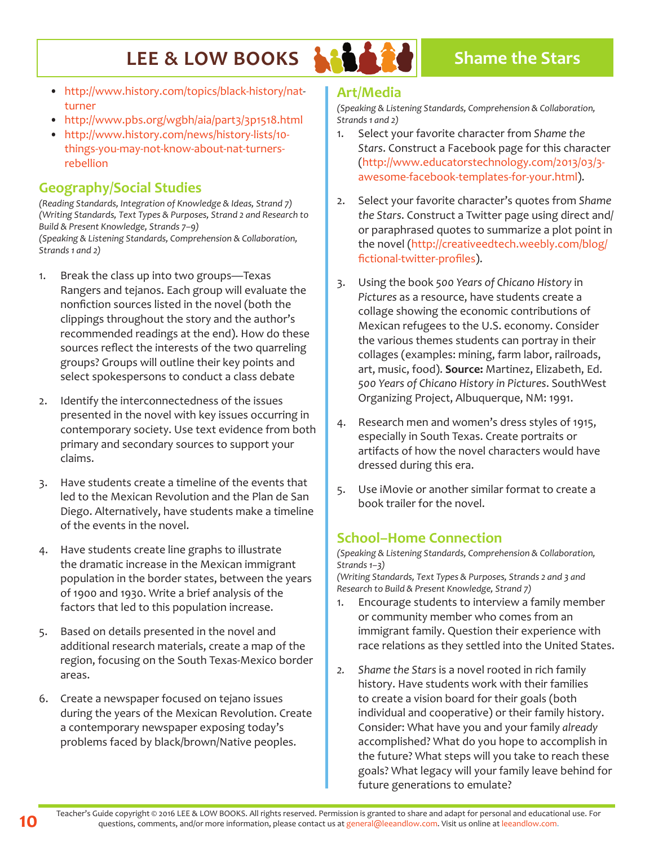

- http://www.history.com/topics/black-history/natturner
- http://www.pbs.org/wgbh/aia/part3/3p1518.html
- http://www.history.com/news/history-lists/10 things-you-may-not-know-about-nat-turnersrebellion

### **Geography/Social Studies**

*(Reading Standards, Integration of Knowledge & Ideas, Strand 7) (Writing Standards, Text Types & Purposes, Strand 2 and Research to Build & Present Knowledge, Strands 7–9) (Speaking & Listening Standards, Comprehension & Collaboration, Strands 1 and 2)*

- 1. Break the class up into two groups—Texas Rangers and tejanos. Each group will evaluate the nonfiction sources listed in the novel (both the clippings throughout the story and the author's recommended readings at the end). How do these sources reflect the interests of the two quarreling groups? Groups will outline their key points and select spokespersons to conduct a class debate
- 2. Identify the interconnectedness of the issues presented in the novel with key issues occurring in contemporary society. Use text evidence from both primary and secondary sources to support your claims.
- 3. Have students create a timeline of the events that led to the Mexican Revolution and the Plan de San Diego. Alternatively, have students make a timeline of the events in the novel.
- 4. Have students create line graphs to illustrate the dramatic increase in the Mexican immigrant population in the border states, between the years of 1900 and 1930. Write a brief analysis of the factors that led to this population increase.
- 5. Based on details presented in the novel and additional research materials, create a map of the region, focusing on the South Texas-Mexico border areas.
- 6. Create a newspaper focused on tejano issues during the years of the Mexican Revolution. Create a contemporary newspaper exposing today's problems faced by black/brown/Native peoples.

#### **Art/Media**

*(Speaking & Listening Standards, Comprehension & Collaboration, Strands 1 and 2)* 

- 1. Select your favorite character from *Shame the Stars*. Construct a Facebook page for this character (http://www.educatorstechnology.com/2013/03/3 awesome-facebook-templates-for-your.html).
- 2. Select your favorite character's quotes from *Shame the Stars*. Construct a Twitter page using direct and/ or paraphrased quotes to summarize a plot point in the novel (http://creativeedtech.weebly.com/blog/ fictional-twitter-profiles).
- 3. Using the book *500 Years of Chicano History* in *Pictures* as a resource, have students create a collage showing the economic contributions of Mexican refugees to the U.S. economy. Consider the various themes students can portray in their collages (examples: mining, farm labor, railroads, art, music, food). **Source:** Martinez, Elizabeth, Ed. *500 Years of Chicano History in Pictures*. SouthWest Organizing Project, Albuquerque, NM: 1991.
- 4. Research men and women's dress styles of 1915, especially in South Texas. Create portraits or artifacts of how the novel characters would have dressed during this era.
- 5. Use iMovie or another similar format to create a book trailer for the novel.

### **School–Home Connection**

*(Speaking & Listening Standards, Comprehension & Collaboration, Strands 1–3)*

*(Writing Standards, Text Types & Purposes, Strands 2 and 3 and Research to Build & Present Knowledge, Strand 7)* 

- 1. Encourage students to interview a family member or community member who comes from an immigrant family. Question their experience with race relations as they settled into the United States.
- *2. Shame the Stars* is a novel rooted in rich family history. Have students work with their families to create a vision board for their goals (both individual and cooperative) or their family history. Consider: What have you and your family *already* accomplished? What do you hope to accomplish in the future? What steps will you take to reach these goals? What legacy will your family leave behind for future generations to emulate?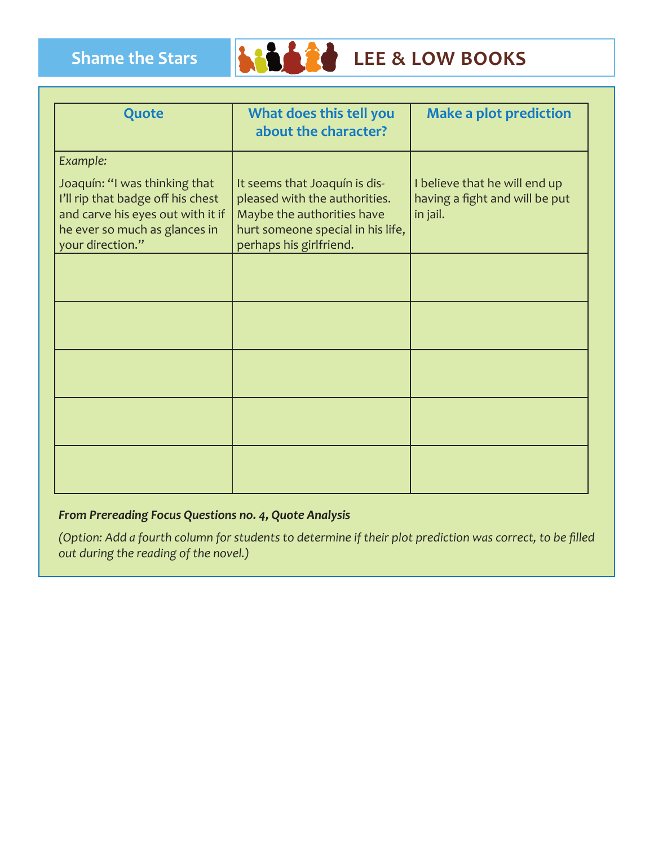

| Quote                                                                                                                                                                    | What does this tell you<br>about the character?                                                                                                              | <b>Make a plot prediction</b>                                               |
|--------------------------------------------------------------------------------------------------------------------------------------------------------------------------|--------------------------------------------------------------------------------------------------------------------------------------------------------------|-----------------------------------------------------------------------------|
| Example:<br>Joaquín: "I was thinking that<br>I'll rip that badge off his chest<br>and carve his eyes out with it if<br>he ever so much as glances in<br>your direction." | It seems that Joaquín is dis-<br>pleased with the authorities.<br>Maybe the authorities have<br>hurt someone special in his life,<br>perhaps his girlfriend. | I believe that he will end up<br>having a fight and will be put<br>in jail. |
|                                                                                                                                                                          |                                                                                                                                                              |                                                                             |
|                                                                                                                                                                          |                                                                                                                                                              |                                                                             |
|                                                                                                                                                                          |                                                                                                                                                              |                                                                             |
|                                                                                                                                                                          |                                                                                                                                                              |                                                                             |
|                                                                                                                                                                          |                                                                                                                                                              |                                                                             |

#### *From Prereading Focus Questions no. 4, Quote Analysis*

*(Option: Add a fourth column for students to determine if their plot prediction was correct, to be filled out during the reading of the novel.)*